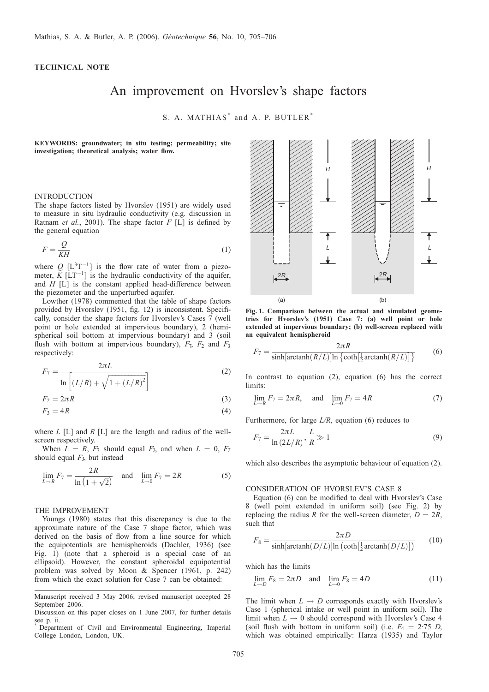# <span id="page-0-0"></span>TECHNICAL NOTE

# An improvement on Hvorslev's shape factors

S. A. MATHIAS<sup>\*</sup> and A. P. BUTLER<sup>\*</sup>

KEYWORDS: groundwater; in situ testing; permeability; site investigation; theoretical analysis; water flow.

## INTRODUCTION

The shape factors listed by [Hvorslev \(1951\)](#page-1-0) are widely used to measure in situ hydraulic conductivity (e.g. discussion in [Ratnam](#page-1-0) et al., 2001). The shape factor  $F[\text{L}]$  is defined by the general equation

$$
F = \frac{Q}{KH} \tag{1}
$$

where  $Q$  [ $L^{3}T^{-1}$ ] is the flow rate of water from a piezometer,  $\bar{K}$  [LT<sup>-1</sup>] is the hydraulic conductivity of the aquifer, and  $H$  [L] is the constant applied head-difference between the piezometer and the unperturbed aquifer.

[Lowther \(1978\)](#page-1-0) commented that the table of shape factors provided by [Hvorslev \(1951,](#page-1-0) fig. 12) is inconsistent. Specifically, consider the shape factors for Hvorslev's Cases 7 (well point or hole extended at impervious boundary), 2 (hemispherical soil bottom at impervious boundary) and 3 (soil flush with bottom at impervious boundary),  $F_7$ ,  $F_2$  and  $F_3$ respectively:

$$
F_7 = \frac{2\pi L}{\ln\left[ (L/R) + \sqrt{1 + (L/R)^2} \right]}
$$
 (2)

$$
F_2 = 2\pi R \tag{3}
$$

$$
F_3 = 4R \tag{4}
$$

where  $L [L]$  and  $R [L]$  are the length and radius of the wellscreen respectively.

When  $L = R$ ,  $F_7$  should equal  $F_2$ , and when  $L = 0$ ,  $F_7$ should equal  $F_3$ , but instead

$$
\lim_{L \to R} F_7 = \frac{2R}{\ln(1 + \sqrt{2})} \quad \text{and} \quad \lim_{L \to 0} F_7 = 2R \tag{5}
$$

#### THE IMPROVEMENT

[Youngs \(1980\)](#page-1-0) states that this discrepancy is due to the approximate nature of the Case 7 shape factor, which was derived on the basis of flow from a line source for which the equipotentials are hemispheroids [\(Dachler, 1936\)](#page-1-0) (see Fig. 1) (note that a spheroid is a special case of an ellipsoid). However, the constant spheroidal equipotential problem was solved by [Moon & Spencer \(1961,](#page-1-0) p. 242) from which the exact solution for Case 7 can be obtained:



Fig. 1. Comparison between the actual and simulated geometries for [Hvorslev's \(1951\)](#page-1-0) Case 7: (a) well point or hole extended at impervious boundary; (b) well-screen replaced with an equivalent hemispheroid

$$
F_7 = \frac{2\pi R}{\sinh[\arctanh(R/L)]\ln\{\coth\left[\frac{1}{2}\arctanh(R/L)\right]\}}\tag{6}
$$

In contrast to equation  $(2)$ , equation  $(6)$  has the correct limits:

$$
\lim_{L \to R} F_7 = 2\pi R, \quad \text{and} \quad \lim_{L \to 0} F_7 = 4R \tag{7}
$$

Furthermore, for large  $L/R$ , equation (6) reduces to

$$
F_7 = \frac{2\pi L}{\ln\left(\frac{2L}{R}\right)}, \frac{L}{R} \gg 1\tag{9}
$$

which also describes the asymptotic behaviour of equation (2).

### CONSIDERATION OF HVORSLEV'S CASE 8

Equation (6) can be modified to deal with Hvorslev's Case 8 (well point extended in uniform soil) (see Fig. [2\)](#page-1-0) by replacing the radius R for the well-screen diameter,  $D = 2R$ , such that

$$
F_8 = \frac{2\pi D}{\sinh[\arctanh(D/L)]\ln\left(\coth\left[\frac{1}{2}\arctanh(D/L)\right]\right)}\tag{10}
$$

which has the limits

$$
\lim_{L \to D} F_8 = 2\pi D \text{ and } \lim_{L \to 0} F_8 = 4D
$$
 (11)

The limit when  $L \rightarrow D$  corresponds exactly with Hvorslev's Case 1 (spherical intake or well point in uniform soil). The limit when  $L \rightarrow 0$  should correspond with Hvorslev's Case 4 (soil flush with bottom in uniform soil) (i.e.  $F_4 = 2.75$  D, which was obtained empirically: [Harza \(1935\)](#page-1-0) and [Taylor](#page-1-0)

Manuscript received 3 May 2006; revised manuscript accepted 28 September 2006.

Discussion on this paper closes on 1 June 2007, for further details see p. ii.

Department of Civil and Environmental Engineering, Imperial College London, London, UK.